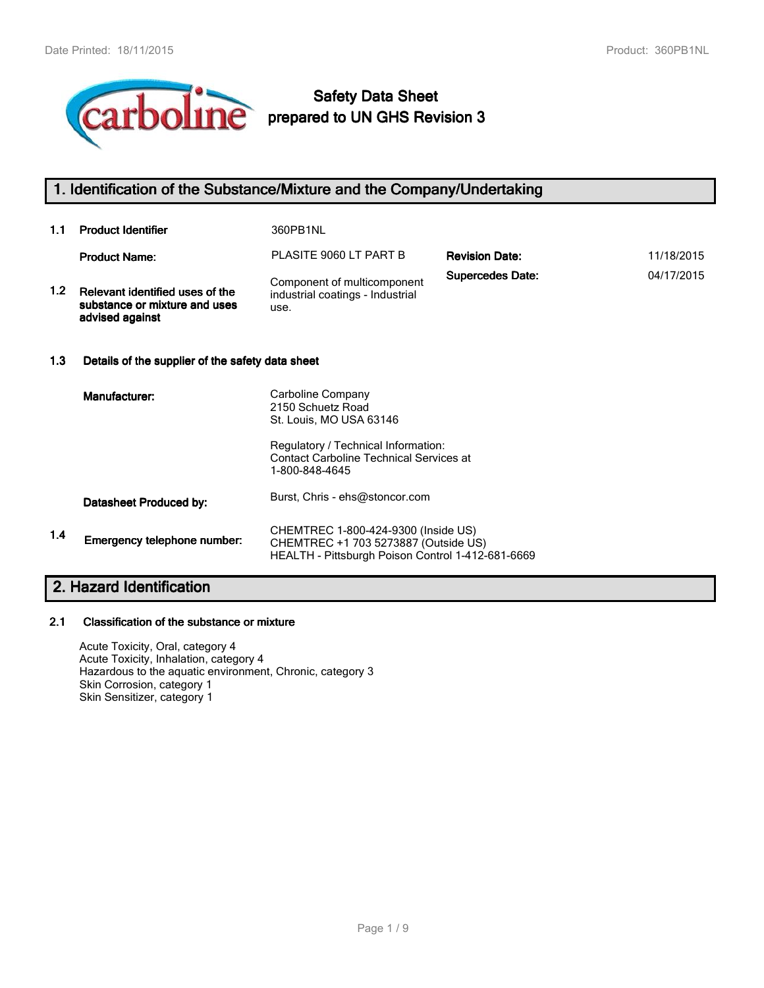

# **Safety Data Sheet prepared to UN GHS Revision 3**

# **1. Identification of the Substance/Mixture and the Company/Undertaking**

| 1.1 | <b>Product Identifier</b>                                                           | 360PB1NL                                                                |                         |            |
|-----|-------------------------------------------------------------------------------------|-------------------------------------------------------------------------|-------------------------|------------|
|     | <b>Product Name:</b>                                                                | PLASITE 9060 LT PART B                                                  | <b>Revision Date:</b>   | 11/18/2015 |
| 1.2 | Relevant identified uses of the<br>substance or mixture and uses<br>advised against | Component of multicomponent<br>industrial coatings - Industrial<br>use. | <b>Supercedes Date:</b> | 04/17/2015 |
| 1.3 | Details of the supplier of the safety data sheet                                    |                                                                         |                         |            |
|     | Manufacturer:                                                                       | Carboline Company<br>2150 Schuetz Road<br>St. Louis, MO USA 63146       |                         |            |
|     |                                                                                     | Regulatory / Technical Information:                                     |                         |            |

Contact Carboline Technical Services at

CHEMTREC +1 703 5273887 (Outside US)

HEALTH - Pittsburgh Poison Control 1-412-681-6669

1-800-848-4645

Burst, Chris - ehs@stoncor.com **Datasheet Produced by:**

**1.4** CHEMTREC 1-800-424-9300 (Inside US)

#### **2.1 Classification of the substance or mixture**

**Emergency telephone number:**

**2. Hazard Identification**

Acute Toxicity, Oral, category 4 Acute Toxicity, Inhalation, category 4 Hazardous to the aquatic environment, Chronic, category 3 Skin Corrosion, category 1 Skin Sensitizer, category 1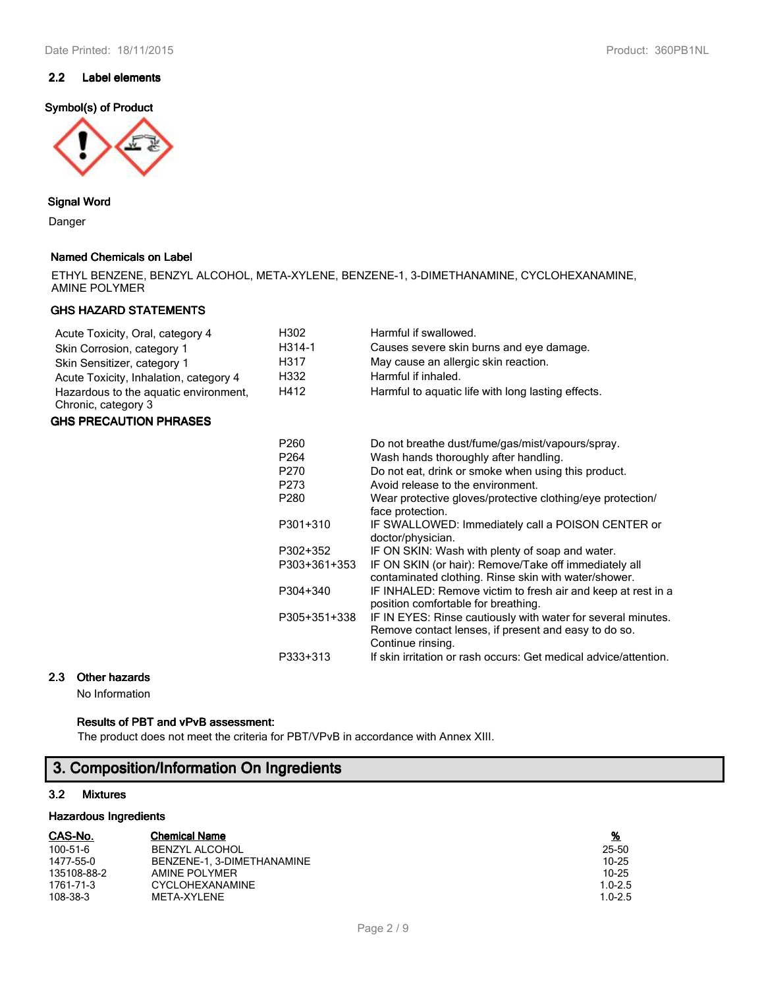## **2.2 Label elements**

## **Symbol(s) of Product**



## **Signal Word**

Danger

**GHS** 

## **Named Chemicals on Label**

|               |  |  | ETHYL BENZENE, BENZYL ALCOHOL, META-XYLENE, BENZENE-1, 3-DIMETHANAMINE, CYCLOHEXANAMINE, |
|---------------|--|--|------------------------------------------------------------------------------------------|
| AMINE POLYMER |  |  |                                                                                          |

## **GHS HAZARD STATEMENTS**

| Acute Toxicity, Oral, category 4                             | H302         | Harmful if swallowed.                                                                                                                     |
|--------------------------------------------------------------|--------------|-------------------------------------------------------------------------------------------------------------------------------------------|
| Skin Corrosion, category 1                                   | H314-1       | Causes severe skin burns and eye damage.                                                                                                  |
| Skin Sensitizer, category 1                                  | H317         | May cause an allergic skin reaction.                                                                                                      |
| Acute Toxicity, Inhalation, category 4                       | H332         | Harmful if inhaled.                                                                                                                       |
| Hazardous to the aquatic environment,<br>Chronic, category 3 | H412         | Harmful to aquatic life with long lasting effects.                                                                                        |
| <b>GHS PRECAUTION PHRASES</b>                                |              |                                                                                                                                           |
|                                                              | P260         | Do not breathe dust/fume/gas/mist/vapours/spray.                                                                                          |
|                                                              | P264         | Wash hands thoroughly after handling.                                                                                                     |
|                                                              | P270         | Do not eat, drink or smoke when using this product.                                                                                       |
|                                                              | P273         | Avoid release to the environment.                                                                                                         |
|                                                              | P280         | Wear protective gloves/protective clothing/eye protection/<br>face protection.                                                            |
|                                                              | P301+310     | IF SWALLOWED: Immediately call a POISON CENTER or<br>doctor/physician.                                                                    |
|                                                              | P302+352     | IF ON SKIN: Wash with plenty of soap and water.                                                                                           |
|                                                              | P303+361+353 | IF ON SKIN (or hair): Remove/Take off immediately all<br>contaminated clothing. Rinse skin with water/shower.                             |
|                                                              | P304+340     | IF INHALED: Remove victim to fresh air and keep at rest in a<br>position comfortable for breathing.                                       |
|                                                              | P305+351+338 | IF IN EYES: Rinse cautiously with water for several minutes.<br>Remove contact lenses, if present and easy to do so.<br>Continue rinsing. |
|                                                              | P333+313     | If skin irritation or rash occurs: Get medical advice/attention.                                                                          |
| ર<br>Other hazarde                                           |              |                                                                                                                                           |

# **2.3 Other hazards**

No Information

## **Results of PBT and vPvB assessment:**

The product does not meet the criteria for PBT/VPvB in accordance with Annex XIII.

# **3. Composition/Information On Ingredients**

## **3.2 Mixtures**

## **Hazardous Ingredients**

| CAS-No.        | <b>Chemical Name</b>       | <u>%</u>    |
|----------------|----------------------------|-------------|
| $100 - 51 - 6$ | <b>BENZYL ALCOHOL</b>      | 25-50       |
| 1477-55-0      | BENZENE-1. 3-DIMETHANAMINE | $10 - 25$   |
| 135108-88-2    | AMINE POLYMER              | $10 - 25$   |
| 1761-71-3      | <b>CYCLOHEXANAMINE</b>     | $1.0 - 2.5$ |
| 108-38-3       | META-XYLENE                | $1.0 - 2.5$ |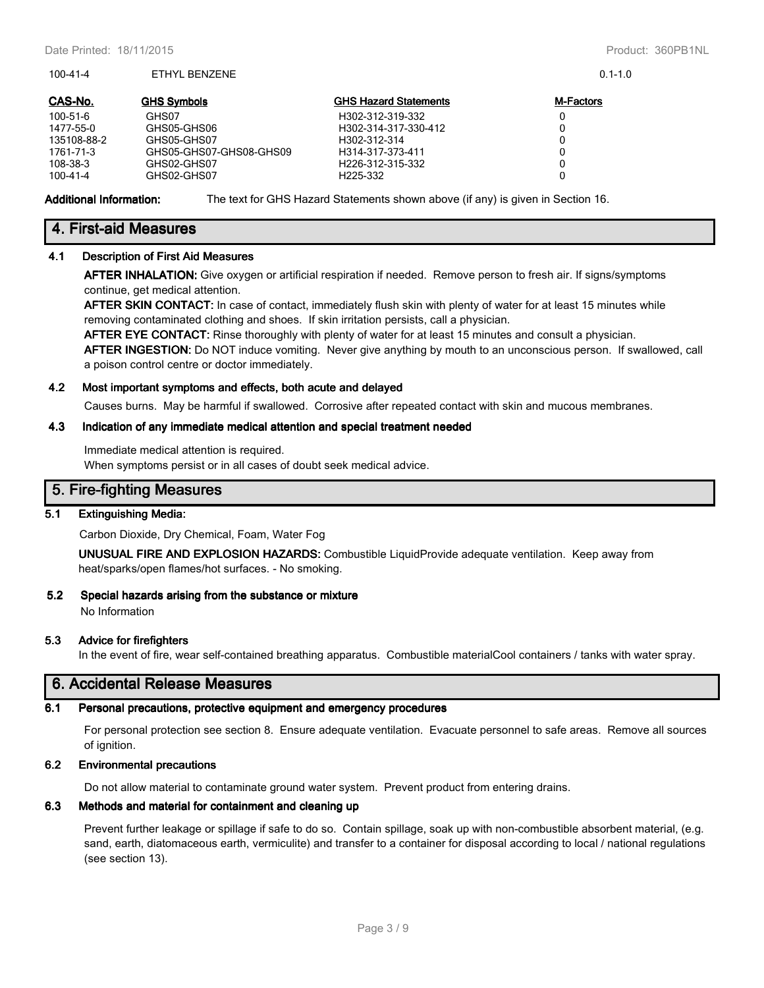100-41-4 ETHYL BENZENE 0.1-1.0

| CAS-No.        | <b>GHS Symbols</b>      | <b>GHS Hazard Statements</b>  | <b>M-Factors</b> |
|----------------|-------------------------|-------------------------------|------------------|
| 100-51-6       | GHS07                   | H302-312-319-332              |                  |
| 1477-55-0      | GHS05-GHS06             | H302-314-317-330-412          |                  |
| 135108-88-2    | GHS05-GHS07             | H <sub>302</sub> -312-314     |                  |
| 1761-71-3      | GHS05-GHS07-GHS08-GHS09 | H314-317-373-411              |                  |
| 108-38-3       | GHS02-GHS07             | H <sub>226</sub> -312-315-332 |                  |
| $100 - 41 - 4$ | GHS02-GHS07             | H <sub>225</sub> -332         |                  |

**Additional Information:** The text for GHS Hazard Statements shown above (if any) is given in Section 16.

## **4. First-aid Measures**

## **4.1 Description of First Aid Measures**

**AFTER INHALATION:** Give oxygen or artificial respiration if needed. Remove person to fresh air. If signs/symptoms continue, get medical attention.

**AFTER SKIN CONTACT:** In case of contact, immediately flush skin with plenty of water for at least 15 minutes while removing contaminated clothing and shoes. If skin irritation persists, call a physician.

**AFTER EYE CONTACT:** Rinse thoroughly with plenty of water for at least 15 minutes and consult a physician.

**AFTER INGESTION:** Do NOT induce vomiting. Never give anything by mouth to an unconscious person. If swallowed, call a poison control centre or doctor immediately.

#### **4.2 Most important symptoms and effects, both acute and delayed**

Causes burns. May be harmful if swallowed. Corrosive after repeated contact with skin and mucous membranes.

#### **4.3 Indication of any immediate medical attention and special treatment needed**

Immediate medical attention is required. When symptoms persist or in all cases of doubt seek medical advice.

## **5. Fire-fighting Measures**

## **5.1 Extinguishing Media:**

Carbon Dioxide, Dry Chemical, Foam, Water Fog

**UNUSUAL FIRE AND EXPLOSION HAZARDS:** Combustible LiquidProvide adequate ventilation. Keep away from heat/sparks/open flames/hot surfaces. - No smoking.

#### **5.2 Special hazards arising from the substance or mixture**

No Information

#### **5.3 Advice for firefighters**

In the event of fire, wear self-contained breathing apparatus. Combustible materialCool containers / tanks with water spray.

## **6. Accidental Release Measures**

#### **6.1 Personal precautions, protective equipment and emergency procedures**

For personal protection see section 8. Ensure adequate ventilation. Evacuate personnel to safe areas. Remove all sources of ignition.

## **6.2 Environmental precautions**

Do not allow material to contaminate ground water system. Prevent product from entering drains.

#### **6.3 Methods and material for containment and cleaning up**

Prevent further leakage or spillage if safe to do so. Contain spillage, soak up with non-combustible absorbent material, (e.g. sand, earth, diatomaceous earth, vermiculite) and transfer to a container for disposal according to local / national regulations (see section 13).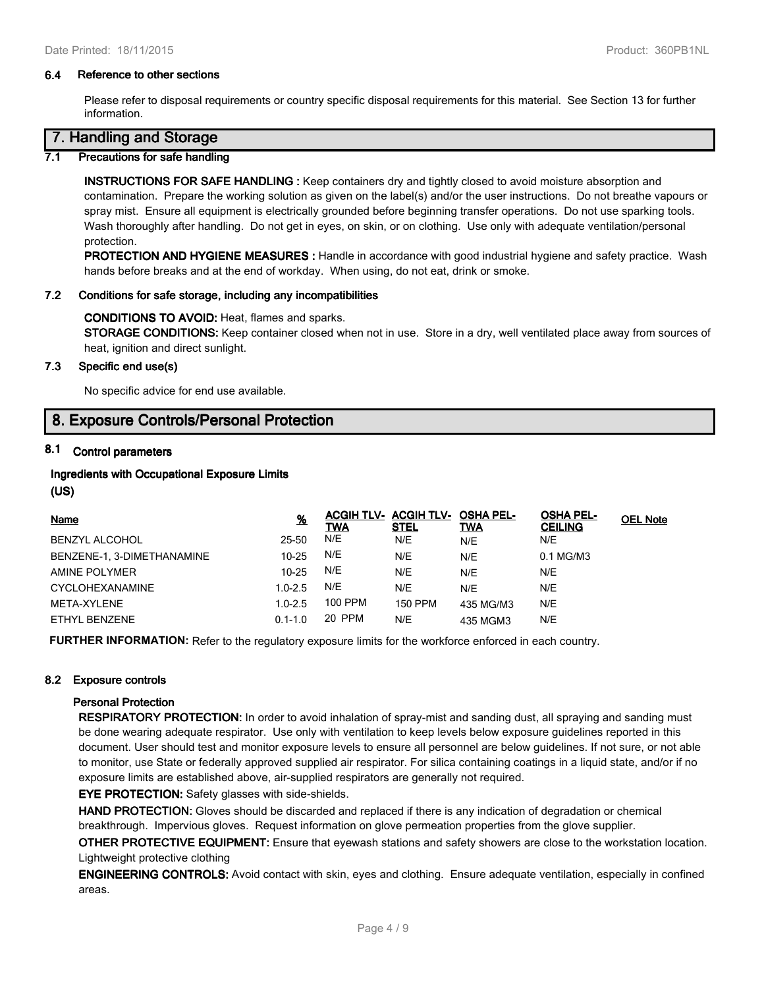#### **6.4 Reference to other sections**

Please refer to disposal requirements or country specific disposal requirements for this material. See Section 13 for further information.

# **7. Handling and Storage**

## **7.1 Precautions for safe handling**

**INSTRUCTIONS FOR SAFE HANDLING :** Keep containers dry and tightly closed to avoid moisture absorption and contamination. Prepare the working solution as given on the label(s) and/or the user instructions. Do not breathe vapours or spray mist. Ensure all equipment is electrically grounded before beginning transfer operations. Do not use sparking tools. Wash thoroughly after handling. Do not get in eyes, on skin, or on clothing. Use only with adequate ventilation/personal protection.

**PROTECTION AND HYGIENE MEASURES :** Handle in accordance with good industrial hygiene and safety practice. Wash hands before breaks and at the end of workday. When using, do not eat, drink or smoke.

#### **7.2 Conditions for safe storage, including any incompatibilities**

#### **CONDITIONS TO AVOID:** Heat, flames and sparks.

**STORAGE CONDITIONS:** Keep container closed when not in use. Store in a dry, well ventilated place away from sources of heat, ignition and direct sunlight.

## **7.3 Specific end use(s)**

No specific advice for end use available.

## **8. Exposure Controls/Personal Protection**

## **8.1 Control parameters**

## **Ingredients with Occupational Exposure Limits**

**(US)**

| <b>Name</b>                | <u>%</u>    | <u>TWA</u> | ACGIH TLV- ACGIH TLV-<br><u>STEL</u> | <b>OSHA PEL-</b><br><u>TWA</u> | <b>OSHA PEL-</b><br><b>CEILING</b> | <b>OEL Note</b> |
|----------------------------|-------------|------------|--------------------------------------|--------------------------------|------------------------------------|-----------------|
| BENZYL ALCOHOL             | 25-50       | N/E        | N/E                                  | N/E                            | N/E                                |                 |
| BENZENE-1, 3-DIMETHANAMINE | $10 - 25$   | N/E        | N/E                                  | N/E                            | 0.1 MG/M3                          |                 |
| AMINE POLYMER              | $10 - 25$   | N/E        | N/E                                  | N/E                            | N/E                                |                 |
| CYCLOHEXANAMINE            | $1.0 - 2.5$ | N/E        | N/E                                  | N/E                            | N/E                                |                 |
| <b>META-XYLENE</b>         | $1.0 - 2.5$ | 100 PPM    | <b>150 PPM</b>                       | 435 MG/M3                      | N/E                                |                 |
| ETHYL BENZENE              | $0.1 - 1.0$ | 20 PPM     | N/E                                  | 435 MGM3                       | N/E                                |                 |

**FURTHER INFORMATION:** Refer to the regulatory exposure limits for the workforce enforced in each country.

## **8.2 Exposure controls**

#### **Personal Protection**

**RESPIRATORY PROTECTION:** In order to avoid inhalation of spray-mist and sanding dust, all spraying and sanding must be done wearing adequate respirator. Use only with ventilation to keep levels below exposure guidelines reported in this document. User should test and monitor exposure levels to ensure all personnel are below guidelines. If not sure, or not able to monitor, use State or federally approved supplied air respirator. For silica containing coatings in a liquid state, and/or if no exposure limits are established above, air-supplied respirators are generally not required.

**EYE PROTECTION:** Safety glasses with side-shields.

**HAND PROTECTION:** Gloves should be discarded and replaced if there is any indication of degradation or chemical breakthrough. Impervious gloves. Request information on glove permeation properties from the glove supplier.

**OTHER PROTECTIVE EQUIPMENT:** Ensure that eyewash stations and safety showers are close to the workstation location. Lightweight protective clothing

**ENGINEERING CONTROLS:** Avoid contact with skin, eyes and clothing. Ensure adequate ventilation, especially in confined areas.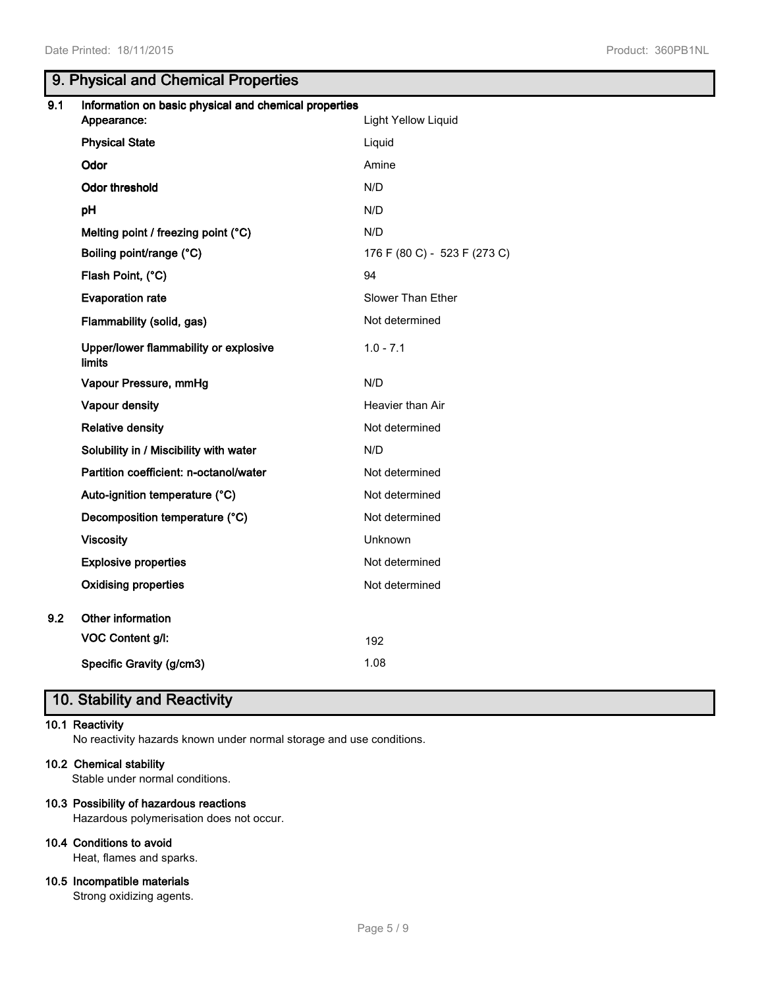# **9. Physical and Chemical Properties**

| 9.1 | Information on basic physical and chemical properties  |                              |
|-----|--------------------------------------------------------|------------------------------|
|     | Appearance:                                            | <b>Light Yellow Liquid</b>   |
|     | <b>Physical State</b>                                  | Liquid                       |
|     | Odor                                                   | Amine                        |
|     | <b>Odor threshold</b>                                  | N/D                          |
|     | pH                                                     | N/D                          |
|     | Melting point / freezing point (°C)                    | N/D                          |
|     | Boiling point/range (°C)                               | 176 F (80 C) - 523 F (273 C) |
|     | Flash Point, (°C)                                      | 94                           |
|     | <b>Evaporation rate</b>                                | Slower Than Ether            |
|     | Flammability (solid, gas)                              | Not determined               |
|     | Upper/lower flammability or explosive<br><b>limits</b> | $1.0 - 7.1$                  |
|     | Vapour Pressure, mmHg                                  | N/D                          |
|     | Vapour density                                         | Heavier than Air             |
|     | <b>Relative density</b>                                | Not determined               |
|     | Solubility in / Miscibility with water                 | N/D                          |
|     | Partition coefficient: n-octanol/water                 | Not determined               |
|     | Auto-ignition temperature (°C)                         | Not determined               |
|     | Decomposition temperature (°C)                         | Not determined               |
|     | <b>Viscosity</b>                                       | Unknown                      |
|     | <b>Explosive properties</b>                            | Not determined               |
|     | <b>Oxidising properties</b>                            | Not determined               |
| 9.2 | Other information                                      |                              |
|     | VOC Content g/l:                                       | 192                          |
|     | Specific Gravity (g/cm3)                               | 1.08                         |
|     |                                                        |                              |

# **10. Stability and Reactivity**

## **10.1 Reactivity**

No reactivity hazards known under normal storage and use conditions.

## **10.2 Chemical stability**

Stable under normal conditions.

## **10.3 Possibility of hazardous reactions**

Hazardous polymerisation does not occur.

## **10.4 Conditions to avoid**

Heat, flames and sparks.

## **10.5 Incompatible materials**

Strong oxidizing agents.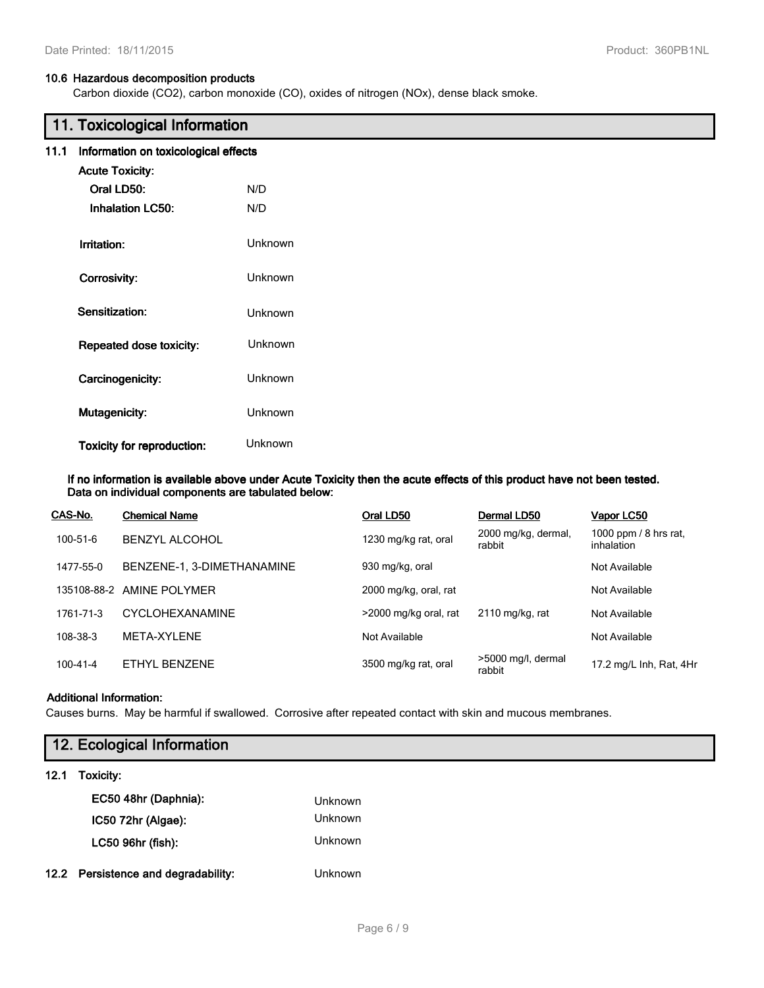## **10.6 Hazardous decomposition products**

Carbon dioxide (CO2), carbon monoxide (CO), oxides of nitrogen (NOx), dense black smoke.

|      | 11. Toxicological Information        |                |  |  |
|------|--------------------------------------|----------------|--|--|
| 11.1 | Information on toxicological effects |                |  |  |
|      | <b>Acute Toxicity:</b>               |                |  |  |
|      | Oral LD50:                           | N/D            |  |  |
|      | <b>Inhalation LC50:</b>              | N/D            |  |  |
|      | Irritation:                          | Unknown        |  |  |
|      | Corrosivity:                         | Unknown        |  |  |
|      | Sensitization:                       | Unknown        |  |  |
|      | Repeated dose toxicity:              | Unknown        |  |  |
|      | Carcinogenicity:                     | Unknown        |  |  |
|      | Mutagenicity:                        | <b>Unknown</b> |  |  |
|      | <b>Toxicity for reproduction:</b>    | <b>Unknown</b> |  |  |

**If no information is available above under Acute Toxicity then the acute effects of this product have not been tested. Data on individual components are tabulated below:**

| CAS-No.        | <b>Chemical Name</b>       | Oral LD50             | Dermal LD50                   | Vapor LC50                          |
|----------------|----------------------------|-----------------------|-------------------------------|-------------------------------------|
| 100-51-6       | <b>BENZYL ALCOHOL</b>      | 1230 mg/kg rat, oral  | 2000 mg/kg, dermal,<br>rabbit | 1000 ppm / 8 hrs rat,<br>inhalation |
| 1477-55-0      | BENZENE-1, 3-DIMETHANAMINE | 930 mg/kg, oral       |                               | Not Available                       |
|                | 135108-88-2 AMINE POLYMER  | 2000 mg/kg, oral, rat |                               | Not Available                       |
| 1761-71-3      | <b>CYCLOHEXANAMINE</b>     | >2000 mg/kg oral, rat | 2110 mg/kg, rat               | Not Available                       |
| 108-38-3       | META-XYLENE                | Not Available         |                               | Not Available                       |
| $100 - 41 - 4$ | ETHYL BENZENE              | 3500 mg/kg rat, oral  | >5000 mg/l, dermal<br>rabbit  | 17.2 mg/L Inh, Rat, 4Hr             |

#### **Additional Information:**

Causes burns. May be harmful if swallowed. Corrosive after repeated contact with skin and mucous membranes.

| 12. Ecological Information |                |  |
|----------------------------|----------------|--|
| 12.1 Toxicity:             |                |  |
| EC50 48hr (Daphnia):       | <b>Unknown</b> |  |
| IC50 72hr (Algae):         | <b>Unknown</b> |  |
| LC50 96hr (fish):          | Unknown        |  |

**12.2 Persistence and degradability:** Unknown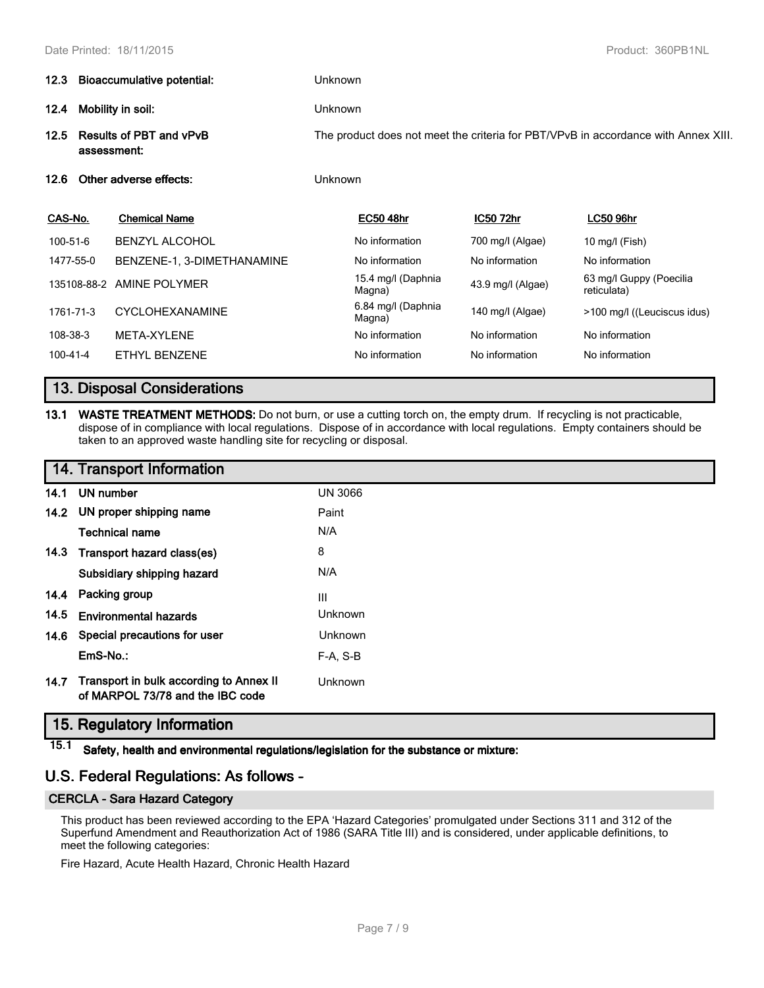|                                                                                    | 12.3 Bioaccumulative potential: |                                                                                                      | <b>Unknown</b> |                              |                   |                                        |  |      |
|------------------------------------------------------------------------------------|---------------------------------|------------------------------------------------------------------------------------------------------|----------------|------------------------------|-------------------|----------------------------------------|--|------|
| Mobility in soil:<br>12.4<br><b>Results of PBT and vPvB</b><br>12.5<br>assessment: |                                 | <b>Unknown</b><br>The product does not meet the criteria for PBT/VPvB in accordance with Annex XIII. |                |                              |                   |                                        |  |      |
|                                                                                    |                                 |                                                                                                      |                |                              |                   |                                        |  | 12.6 |
| CAS-No.                                                                            |                                 | <b>Chemical Name</b>                                                                                 |                | <b>EC50 48hr</b>             | <b>IC50 72hr</b>  | <b>LC50 96hr</b>                       |  |      |
| 100-51-6                                                                           |                                 | <b>BENZYL ALCOHOL</b>                                                                                |                | No information               | 700 mg/l (Algae)  | 10 mg/l (Fish)                         |  |      |
| 1477-55-0                                                                          |                                 | BENZENE-1, 3-DIMETHANAMINE                                                                           |                | No information               | No information    | No information                         |  |      |
|                                                                                    | 135108-88-2                     | AMINE POLYMER                                                                                        |                | 15.4 mg/l (Daphnia<br>Magna) | 43.9 mg/l (Algae) | 63 mg/l Guppy (Poecilia<br>reticulata) |  |      |
| 1761-71-3                                                                          |                                 | <b>CYCLOHEXANAMINE</b>                                                                               |                | 6.84 mg/l (Daphnia<br>Magna) | 140 mg/l (Algae)  | >100 mg/l ((Leuciscus idus)            |  |      |
| 108-38-3                                                                           |                                 | META-XYLENE                                                                                          |                | No information               | No information    | No information                         |  |      |
| $100 - 41 - 4$                                                                     |                                 | <b>ETHYL BENZENE</b>                                                                                 |                | No information               | No information    | No information                         |  |      |

# **13. Disposal Considerations**

**13.1 WASTE TREATMENT METHODS:** Do not burn, or use a cutting torch on, the empty drum. If recycling is not practicable, dispose of in compliance with local regulations. Dispose of in accordance with local regulations. Empty containers should be taken to an approved waste handling site for recycling or disposal.

| 14. Transport Information |  |  |  |
|---------------------------|--|--|--|
|---------------------------|--|--|--|

|      | 14.1 UN number                                                              | <b>UN 3066</b> |
|------|-----------------------------------------------------------------------------|----------------|
|      | 14.2 UN proper shipping name                                                | Paint          |
|      | <b>Technical name</b>                                                       | N/A            |
|      | 14.3 Transport hazard class(es)                                             | 8              |
|      | Subsidiary shipping hazard                                                  | N/A            |
|      | 14.4 Packing group                                                          | Ш              |
| 14.5 | <b>Environmental hazards</b>                                                | Unknown        |
|      | 14.6 Special precautions for user                                           | Unknown        |
|      | EmS-No.:                                                                    | $F-A, S-B$     |
| 14.7 | Transport in bulk according to Annex II<br>of MARPOL 73/78 and the IBC code | Unknown        |

# **15. Regulatory Information**

**15.1 Safety, health and environmental regulations/legislation for the substance or mixture:**

# **U.S. Federal Regulations: As follows -**

## **CERCLA - Sara Hazard Category**

This product has been reviewed according to the EPA 'Hazard Categories' promulgated under Sections 311 and 312 of the Superfund Amendment and Reauthorization Act of 1986 (SARA Title III) and is considered, under applicable definitions, to meet the following categories:

Fire Hazard, Acute Health Hazard, Chronic Health Hazard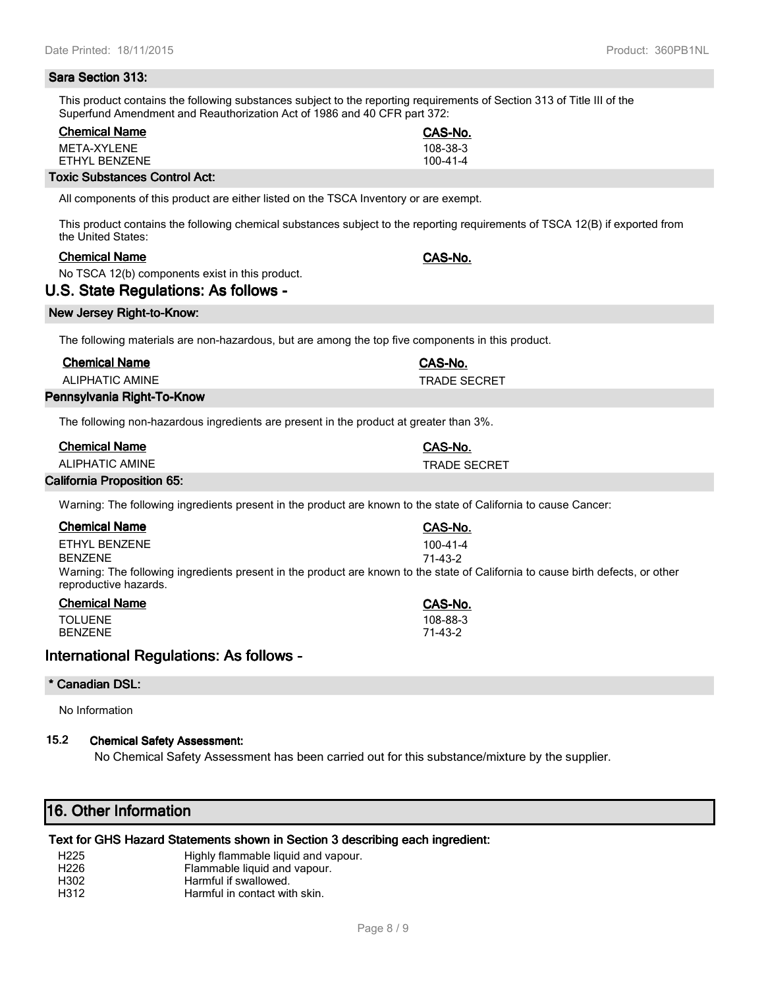#### **Sara Section 313:**

This product contains the following substances subject to the reporting requirements of Section 313 of Title III of the Superfund Amendment and Reauthorization Act of 1986 and 40 CFR part 372:

| <b>Chemical Name</b>                 | CAS-No.        |
|--------------------------------------|----------------|
| MFTA-XYI FNF                         | 108-38-3       |
| FTHYL BENZENE                        | $100 - 41 - 4$ |
| <b>Toxic Substances Control Act:</b> |                |

All components of this product are either listed on the TSCA Inventory or are exempt.

This product contains the following chemical substances subject to the reporting requirements of TSCA 12(B) if exported from the United States:

## **Chemical Name CAS-No.**

No TSCA 12(b) components exist in this product.

## **U.S. State Regulations: As follows -**

#### **New Jersey Right-to-Know:**

The following materials are non-hazardous, but are among the top five components in this product.

| <b>Chemical Name</b>       | CAS-No.             |
|----------------------------|---------------------|
| ALIPHATIC AMINE            | <b>TRADE SECRET</b> |
| Pennsylvania Right-To-Know |                     |

The following non-hazardous ingredients are present in the product at greater than 3%.

|          | <b>Chemical Name</b> |                       | CAS-No.             |
|----------|----------------------|-----------------------|---------------------|
|          | ALIPHATIC AMINE      |                       | <b>TRADE SECRET</b> |
| $\cdots$ | .                    | $\bullet$ . $\bullet$ |                     |

## **California Proposition 65:**

Warning: The following ingredients present in the product are known to the state of California to cause Cancer:

| <b>Chemical Name</b>                                                                                                                                     | CAS-No.        |
|----------------------------------------------------------------------------------------------------------------------------------------------------------|----------------|
| ETHYL BENZENE                                                                                                                                            | $100 - 41 - 4$ |
| <b>BENZENE</b>                                                                                                                                           | $71 - 43 - 2$  |
| Warning: The following ingredients present in the product are known to the state of California to cause birth defects, or other<br>reproductive hazards. |                |

| <b>Chemical Name</b> | CAS-No.  |
|----------------------|----------|
| <b>TOLUENE</b>       | 108-88-3 |
| <b>BENZENE</b>       | 71-43-2  |

## **International Regulations: As follows -**

#### **\* Canadian DSL:**

No Information

## **15.2 Chemical Safety Assessment:**

No Chemical Safety Assessment has been carried out for this substance/mixture by the supplier.

## **16. Other Information**

## **Text for GHS Hazard Statements shown in Section 3 describing each ingredient:**

- H225 Highly flammable liquid and vapour.
- H226 Flammable liquid and vapour.<br>
Harmful if swallowed.
- Harmful if swallowed.
- H312 Harmful in contact with skin.